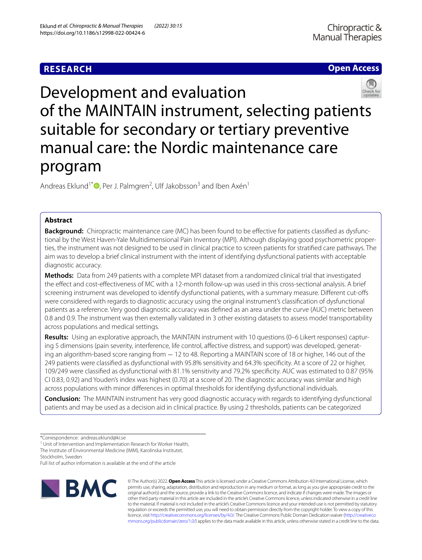# **RESEARCH**

# **Open Access**



Development and evaluation of the MAINTAIN instrument, selecting patients suitable for secondary or tertiary preventive manual care: the Nordic maintenance care program

Andreas Eklund<sup>1\*</sup><sup>®</sup>[,](http://orcid.org/0000-0002-2162-7537) Per J. Palmgren<sup>2</sup>, Ulf Jakobsson<sup>3</sup> and Iben Axén<sup>1</sup>

# **Abstract**

**Background:** Chiropractic maintenance care (MC) has been found to be efective for patients classifed as dysfunctional by the West Haven-Yale Multidimensional Pain Inventory (MPI). Although displaying good psychometric properties, the instrument was not designed to be used in clinical practice to screen patients for stratifed care pathways. The aim was to develop a brief clinical instrument with the intent of identifying dysfunctional patients with acceptable diagnostic accuracy.

**Methods:** Data from 249 patients with a complete MPI dataset from a randomized clinical trial that investigated the efect and cost-efectiveness of MC with a 12-month follow-up was used in this cross-sectional analysis. A brief screening instrument was developed to identify dysfunctional patients, with a summary measure. Diferent cut-ofs were considered with regards to diagnostic accuracy using the original instrument's classifcation of dysfunctional patients as a reference. Very good diagnostic accuracy was defned as an area under the curve (AUC) metric between 0.8 and 0.9. The instrument was then externally validated in 3 other existing datasets to assess model transportability across populations and medical settings.

**Results:** Using an explorative approach, the MAINTAIN instrument with 10 questions (0–6 Likert responses) capturing 5 dimensions (pain severity, interference, life control, affective distress, and support) was developed, generating an algorithm-based score ranging from − 12 to 48. Reporting a MAINTAIN score of 18 or higher, 146 out of the 249 patients were classifed as dysfunctional with 95.8% sensitivity and 64.3% specifcity. At a score of 22 or higher, 109/249 were classifed as dysfunctional with 81.1% sensitivity and 79.2% specifcity. AUC was estimated to 0.87 (95% CI 0.83, 0.92) and Youden's index was highest (0.70) at a score of 20. The diagnostic accuracy was similar and high across populations with minor diferences in optimal thresholds for identifying dysfunctional individuals.

**Conclusion:** The MAINTAIN instrument has very good diagnostic accuracy with regards to identifying dysfunctional patients and may be used as a decision aid in clinical practice. By using 2 thresholds, patients can be categorized

<sup>1</sup> Unit of Intervention and Implementation Research for Worker Health, The Institute of Environmental Medicine (IMM), Karolinska Institutet,

Stockholm, Sweden

Full list of author information is available at the end of the article



© The Author(s) 2022. **Open Access** This article is licensed under a Creative Commons Attribution 4.0 International License, which permits use, sharing, adaptation, distribution and reproduction in any medium or format, as long as you give appropriate credit to the original author(s) and the source, provide a link to the Creative Commons licence, and indicate if changes were made. The images or other third party material in this article are included in the article's Creative Commons licence, unless indicated otherwise in a credit line to the material. If material is not included in the article's Creative Commons licence and your intended use is not permitted by statutory regulation or exceeds the permitted use, you will need to obtain permission directly from the copyright holder. To view a copy of this licence, visit [http://creativecommons.org/licenses/by/4.0/.](http://creativecommons.org/licenses/by/4.0/) The Creative Commons Public Domain Dedication waiver ([http://creativeco](http://creativecommons.org/publicdomain/zero/1.0/) [mmons.org/publicdomain/zero/1.0/](http://creativecommons.org/publicdomain/zero/1.0/)) applies to the data made available in this article, unless otherwise stated in a credit line to the data.

<sup>\*</sup>Correspondence: andreas.eklund@ki.se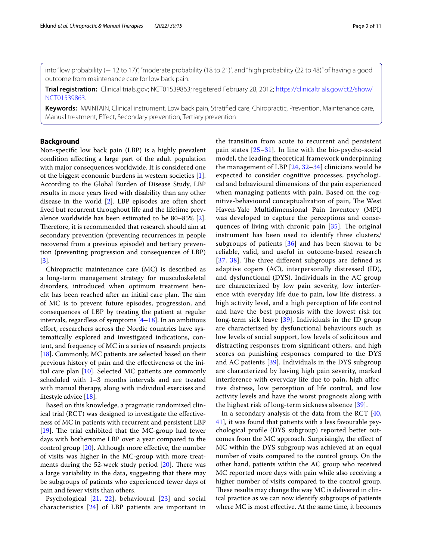into "low probability (− 12 to 17)", "moderate probability (18 to 21)", and "high probability (22 to 48)" of having a good outcome from maintenance care for low back pain.

**Trial registration:** Clinical trials.gov; NCT01539863; registered February 28, 2012; [https://clinicaltrials.gov/ct2/show/](https://clinicaltrials.gov/ct2/show/NCT01539863) [NCT01539863](https://clinicaltrials.gov/ct2/show/NCT01539863).

**Keywords:** MAINTAIN, Clinical instrument, Low back pain, Stratifed care, Chiropractic, Prevention, Maintenance care, Manual treatment, Efect, Secondary prevention, Tertiary prevention

# **Background**

Non-specifc low back pain (LBP) is a highly prevalent condition afecting a large part of the adult population with major consequences worldwide. It is considered one of the biggest economic burdens in western societies [\[1](#page-8-0)]. According to the Global Burden of Disease Study, LBP results in more years lived with disability than any other disease in the world [\[2](#page-8-1)]. LBP episodes are often short lived but recurrent throughout life and the lifetime prevalence worldwide has been estimated to be 80–85% [\[2](#page-8-1)]. Therefore, it is recommended that research should aim at secondary prevention (preventing recurrences in people recovered from a previous episode) and tertiary prevention (preventing progression and consequences of LBP) [[3\]](#page-8-2).

Chiropractic maintenance care (MC) is described as a long-term management strategy for musculoskeletal disorders, introduced when optimum treatment benefit has been reached after an initial care plan. The aim of MC is to prevent future episodes, progression, and consequences of LBP by treating the patient at regular intervals, regardless of symptoms  $[4–18]$  $[4–18]$ . In an ambitious efort, researchers across the Nordic countries have systematically explored and investigated indications, content, and frequency of MC in a series of research projects [[18\]](#page-9-0). Commonly, MC patients are selected based on their previous history of pain and the efectiveness of the initial care plan [\[10](#page-8-4)]. Selected MC patients are commonly scheduled with 1–3 months intervals and are treated with manual therapy, along with individual exercises and lifestyle advice [\[18](#page-9-0)].

Based on this knowledge, a pragmatic randomized clinical trial (RCT) was designed to investigate the efectiveness of MC in patients with recurrent and persistent LBP [[19\]](#page-9-1). The trial exhibited that the MC-group had fewer days with bothersome LBP over a year compared to the control group [\[20](#page-9-2)]. Although more efective, the number of visits was higher in the MC-group with more treatments during the 52-week study period  $[20]$  $[20]$ . There was a large variability in the data, suggesting that there may be subgroups of patients who experienced fewer days of pain and fewer visits than others.

Psychological [\[21,](#page-9-3) [22](#page-9-4)], behavioural [[23](#page-9-5)] and social characteristics [[24\]](#page-9-6) of LBP patients are important in the transition from acute to recurrent and persistent pain states [\[25–](#page-9-7)[31\]](#page-9-8). In line with the bio-psycho-social model, the leading theoretical framework underpinning the management of LBP  $[24, 32-34]$  $[24, 32-34]$  $[24, 32-34]$  $[24, 32-34]$  clinicians would be expected to consider cognitive processes, psychological and behavioural dimensions of the pain experienced when managing patients with pain. Based on the cognitive-behavioural conceptualization of pain, The West Haven-Yale Multidimensional Pain Inventory (MPI) was developed to capture the perceptions and consequences of living with chronic pain  $[35]$  $[35]$ . The original instrument has been used to identify three clusters/ subgroups of patients  $[36]$  $[36]$  and has been shown to be reliable, valid, and useful in outcome-based research [[37](#page-9-13), [38\]](#page-9-14). The three different subgroups are defined as adaptive copers (AC), interpersonally distressed (ID), and dysfunctional (DYS). Individuals in the AC group are characterized by low pain severity, low interference with everyday life due to pain, low life distress, a high activity level, and a high perception of life control and have the best prognosis with the lowest risk for long-term sick leave [\[39\]](#page-9-15). Individuals in the ID group are characterized by dysfunctional behaviours such as low levels of social support, low levels of solicitous and distracting responses from signifcant others, and high scores on punishing responses compared to the DYS and AC patients [\[39](#page-9-15)]. Individuals in the DYS subgroup are characterized by having high pain severity, marked interference with everyday life due to pain, high afective distress, low perception of life control, and low activity levels and have the worst prognosis along with the highest risk of long-term sickness absence [[39\]](#page-9-15).

In a secondary analysis of the data from the RCT [[40](#page-9-16), [41\]](#page-9-17), it was found that patients with a less favourable psychological profle (DYS subgroup) reported better outcomes from the MC approach. Surprisingly, the efect of MC within the DYS subgroup was achieved at an equal number of visits compared to the control group. On the other hand, patients within the AC group who received MC reported more days with pain while also receiving a higher number of visits compared to the control group. These results may change the way MC is delivered in clinical practice as we can now identify subgroups of patients where MC is most efective. At the same time, it becomes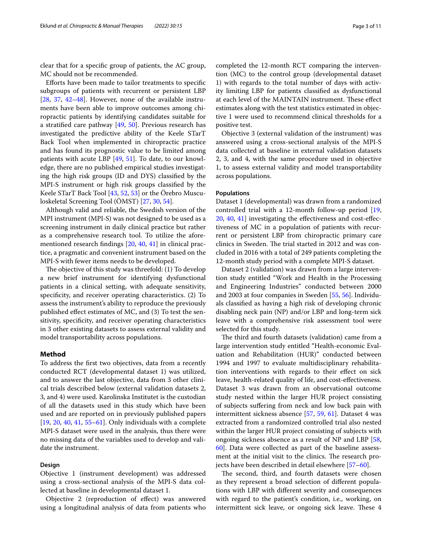clear that for a specifc group of patients, the AC group, MC should not be recommended.

Eforts have been made to tailor treatments to specifc subgroups of patients with recurrent or persistent LBP [[28,](#page-9-18) [37,](#page-9-13) [42–](#page-9-19)[48\]](#page-9-20). However, none of the available instruments have been able to improve outcomes among chiropractic patients by identifying candidates suitable for a stratified care pathway  $[49, 50]$  $[49, 50]$  $[49, 50]$  $[49, 50]$ . Previous research has investigated the predictive ability of the Keele STarT Back Tool when implemented in chiropractic practice and has found its prognostic value to be limited among patients with acute LBP [[49](#page-9-21), [51\]](#page-9-23). To date, to our knowledge, there are no published empirical studies investigating the high risk groups (ID and DYS) classifed by the MPI-S instrument or high risk groups classifed by the Keele STarT Back Tool [[43,](#page-9-24) [52,](#page-9-25) [53](#page-9-26)] or the Örebro Musculoskeletal Screening Tool (ÖMST) [\[27](#page-9-27), [30,](#page-9-28) [54\]](#page-9-29).

Although valid and reliable, the Swedish version of the MPI instrument (MPI-S) was not designed to be used as a screening instrument in daily clinical practice but rather as a comprehensive research tool. To utilize the aforementioned research fndings [\[20](#page-9-2), [40](#page-9-16), [41](#page-9-17)] in clinical practice, a pragmatic and convenient instrument based on the MPI-S with fewer items needs to be developed.

The objective of this study was threefold:  $(1)$  To develop a new brief instrument for identifying dysfunctional patients in a clinical setting, with adequate sensitivity, specifcity, and receiver operating characteristics. (2) To assess the instrument's ability to reproduce the previously published efect estimates of MC, and (3) To test the sensitivity, specificity, and receiver operating characteristics in 3 other existing datasets to assess external validity and model transportability across populations.

## **Method**

To address the frst two objectives, data from a recently conducted RCT (developmental dataset 1) was utilized, and to answer the last objective, data from 3 other clinical trials described below (external validation datasets 2, 3, and 4) were used. Karolinska Institutet is the custodian of all the datasets used in this study which have been used and are reported on in previously published papers [[19,](#page-9-1) [20,](#page-9-2) [40,](#page-9-16) [41,](#page-9-17) [55–](#page-9-30)[61](#page-10-0)]. Only individuals with a complete MPI-S dataset were used in the analysis, thus there were no missing data of the variables used to develop and validate the instrument.

# **Design**

Objective 1 (instrument development) was addressed using a cross-sectional analysis of the MPI-S data collected at baseline in developmental dataset 1.

Objective 2 (reproduction of efect) was answered using a longitudinal analysis of data from patients who completed the 12-month RCT comparing the intervention (MC) to the control group (developmental dataset 1) with regards to the total number of days with activity limiting LBP for patients classifed as dysfunctional at each level of the MAINTAIN instrument. These effect estimates along with the test statistics estimated in objective 1 were used to recommend clinical thresholds for a positive test.

Objective 3 (external validation of the instrument) was answered using a cross-sectional analysis of the MPI-S data collected at baseline in external validation datasets 2, 3, and 4, with the same procedure used in objective 1, to assess external validity and model transportability across populations.

### **Populations**

Dataset 1 (developmental) was drawn from a randomized controlled trial with a 12-month follow-up period [[19](#page-9-1), [20,](#page-9-2) [40,](#page-9-16) [41](#page-9-17)] investigating the efectiveness and cost-efectiveness of MC in a population of patients with recurrent or persistent LBP from chiropractic primary care clinics in Sweden. The trial started in 2012 and was concluded in 2016 with a total of 249 patients completing the 12-month study period with a complete MPI-S dataset.

Dataset 2 (validation) was drawn from a large intervention study entitled "Work and Health in the Processing and Engineering Industries" conducted between 2000 and 2003 at four companies in Sweden [\[55](#page-9-30), [56\]](#page-10-1). Individuals classifed as having a high risk of developing chronic disabling neck pain (NP) and/or LBP and long-term sick leave with a comprehensive risk assessment tool were selected for this study.

The third and fourth datasets (validation) came from a large intervention study entitled "Health-economic Evaluation and Rehabilitation (HUR)" conducted between 1994 and 1997 to evaluate multidisciplinary rehabilitation interventions with regards to their efect on sick leave, health-related quality of life, and cost-efectiveness. Dataset 3 was drawn from an observational outcome study nested within the larger HUR project consisting of subjects sufering from neck and low back pain with intermittent sickness absence [\[57](#page-10-2), [59](#page-10-3), [61\]](#page-10-0). Dataset 4 was extracted from a randomized controlled trial also nested within the larger HUR project consisting of subjects with ongoing sickness absence as a result of NP and LBP [[58](#page-10-4), [60\]](#page-10-5). Data were collected as part of the baseline assessment at the initial visit to the clinics. The research projects have been described in detail elsewhere [\[57](#page-10-2)[–60\]](#page-10-5).

The second, third, and fourth datasets were chosen as they represent a broad selection of diferent populations with LBP with diferent severity and consequences with regard to the patient's condition, i.e., working, on intermittent sick leave, or ongoing sick leave. These 4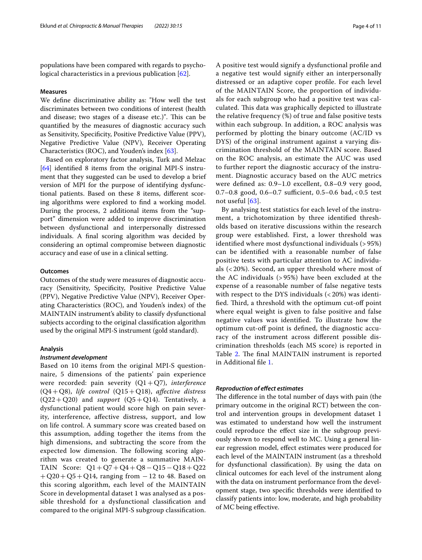populations have been compared with regards to psychological characteristics in a previous publication [[62](#page-10-6)].

# **Measures**

We defne discriminative ability as: "How well the test discriminates between two conditions of interest (health and disease; two stages of a disease etc.)". This can be quantifed by the measures of diagnostic accuracy such as Sensitivity, Specificity, Positive Predictive Value (PPV), Negative Predictive Value (NPV), Receiver Operating Characteristics (ROC), and Youden's index [[63\]](#page-10-7).

Based on exploratory factor analysis, Turk and Melzac [[64\]](#page-10-8) identifed 8 items from the original MPI-S instrument that they suggested can be used to develop a brief version of MPI for the purpose of identifying dysfunctional patients. Based on these 8 items, diferent scoring algorithms were explored to fnd a working model. During the process, 2 additional items from the "support" dimension were added to improve discrimination between dysfunctional and interpersonally distressed individuals. A fnal scoring algorithm was decided by considering an optimal compromise between diagnostic accuracy and ease of use in a clinical setting.

# **Outcomes**

Outcomes of the study were measures of diagnostic accuracy (Sensitivity, Specifcity, Positive Predictive Value (PPV), Negative Predictive Value (NPV), Receiver Operating Characteristics (ROC), and Youden's index) of the MAINTAIN instrument's ability to classify dysfunctional subjects according to the original classifcation algorithm used by the original MPI-S instrument (gold standard).

### **Analysis**

### *Instrument development*

Based on 10 items from the original MPI-S questionnaire, 5 dimensions of the patients' pain experience were recorded: pain severity (Q1+Q7), *interference* (Q4+Q8), *life control* (Q15+Q18), *afective distress*  $(Q22+Q20)$  and *support*  $(Q5+Q14)$ . Tentatively, a dysfunctional patient would score high on pain severity, interference, afective distress, support, and low on life control. A summary score was created based on this assumption, adding together the items from the high dimensions, and subtracting the score from the expected low dimension. The following scoring algorithm was created to generate a summative MAIN-TAIN Score: Q1+Q7+Q4+Q8−Q15−Q18+Q22  $+$ Q20 + Q5 + Q14, ranging from  $-12$  to 48. Based on this scoring algorithm, each level of the MAINTAIN Score in developmental dataset 1 was analysed as a possible threshold for a dysfunctional classifcation and compared to the original MPI-S subgroup classifcation. A positive test would signify a dysfunctional profle and a negative test would signify either an interpersonally distressed or an adaptive coper profle. For each level of the MAINTAIN Score, the proportion of individuals for each subgroup who had a positive test was calculated. This data was graphically depicted to illustrate the relative frequency (%) of true and false positive tests within each subgroup. In addition, a ROC analysis was performed by plotting the binary outcome (AC/ID vs DYS) of the original instrument against a varying discrimination threshold of the MAINTAIN score. Based on the ROC analysis, an estimate the AUC was used to further report the diagnostic accuracy of the instrument. Diagnostic accuracy based on the AUC metrics were defned as: 0.9–1.0 excellent, 0.8–0.9 very good, 0.7–0.8 good, 0.6–0.7 sufficient, 0.5–0.6 bad, < 0.5 test not useful [[63\]](#page-10-7).

By analysing test statistics for each level of the instrument, a trichotomization by three identifed thresholds based on iterative discussions within the research group were established. First, a lower threshold was identifed where most dysfunctional individuals (> 95%) can be identifed with a reasonable number of false positive tests with particular attention to AC individuals (< 20%). Second, an upper threshold where most of the AC individuals (> 95%) have been excluded at the expense of a reasonable number of false negative tests with respect to the DYS individuals (< 20%) was identified. Third, a threshold with the optimum cut-off point where equal weight is given to false positive and false negative values was identifed. To illustrate how the optimum cut-of point is defned, the diagnostic accuracy of the instrument across diferent possible discrimination thresholds (each MS score) is reported in Table [2](#page-5-0). The final MAINTAIN instrument is reported in Additional fle [1](#page-8-5).

## *Reproduction of efect estimates*

The difference in the total number of days with pain (the primary outcome in the original RCT) between the control and intervention groups in development dataset 1 was estimated to understand how well the instrument could reproduce the efect size in the subgroup previously shown to respond well to MC. Using a general linear regression model, efect estimates were produced for each level of the MAINTAIN instrument (as a threshold for dysfunctional classifcation). By using the data on clinical outcomes for each level of the instrument along with the data on instrument performance from the development stage, two specifc thresholds were identifed to classify patients into: low, moderate, and high probability of MC being efective.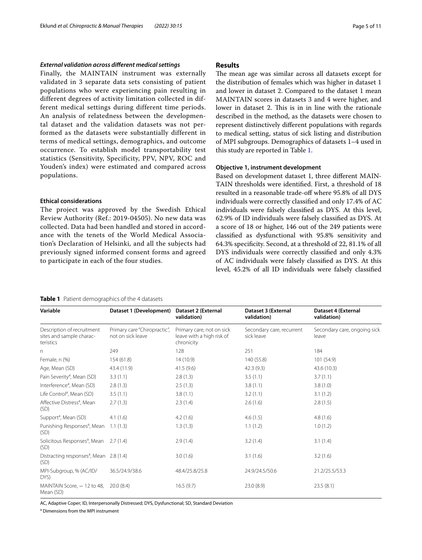# *External validation across diferent medical settings*

Finally, the MAINTAIN instrument was externally validated in 3 separate data sets consisting of patient populations who were experiencing pain resulting in different degrees of activity limitation collected in different medical settings during different time periods. An analysis of relatedness between the developmental dataset and the validation datasets was not performed as the datasets were substantially different in terms of medical settings, demographics, and outcome occurrence. To establish model transportability test statistics (Sensitivity, Specificity, PPV, NPV, ROC and Youden's index) were estimated and compared across populations.

### **Ethical considerations**

The project was approved by the Swedish Ethical Review Authority (Ref.: 2019-04505). No new data was collected. Data had been handled and stored in accordance with the tenets of the World Medical Association's Declaration of Helsinki, and all the subjects had previously signed informed consent forms and agreed to participate in each of the four studies.

# **Results**

The mean age was similar across all datasets except for the distribution of females which was higher in dataset 1 and lower in dataset 2. Compared to the dataset 1 mean MAINTAIN scores in datasets 3 and 4 were higher, and lower in dataset 2. This is in in line with the rationale described in the method, as the datasets were chosen to represent distinctively diferent populations with regards to medical setting, status of sick listing and distribution of MPI subgroups. Demographics of datasets 1–4 used in this study are reported in Table [1](#page-4-0).

# **Objective 1, instrument development**

Based on development dataset 1, three diferent MAIN-TAIN thresholds were identifed. First, a threshold of 18 resulted in a reasonable trade-off where 95.8% of all DYS individuals were correctly classifed and only 17.4% of AC individuals were falsely classifed as DYS. At this level, 62.9% of ID individuals were falsely classifed as DYS. At a score of 18 or higher, 146 out of the 249 patients were classifed as dysfunctional with 95.8% sensitivity and 64.3% specifcity. Second, at a threshold of 22, 81.1% of all DYS individuals were correctly classifed and only 4.3% of AC individuals were falsely classifed as DYS. At this level, 45.2% of all ID individuals were falsely classifed

### <span id="page-4-0"></span>**Table 1** Patient demographics of the 4 datasets

**Variable Dataset 1 (Development) Dataset 2 (External validation) Dataset 3 (External validation) Dataset 4 (External validation)** Description of recruitment sites and sample characteristics Primary care "Chiropractic", not on sick leave Primary care, not on sick leave with a high risk of chronicity Secondary care, recurrent sick leave Secondary care, ongoing sick leave n 249 238 251 2849 128 251 251 262 264 264 264 264 271 284 272 273 274 274 275 276 277 278 279 279 279 279 27 Female, n (%) 154 (61.8) 154 (61.8) 14 (10.9) 14 (10.9) 140 (55.8) 140 (55.8) 101 (54.9) Age, Mean (SD) 43.4 (11.9) 43.4 (11.9) 41.5 (9.6) 42.3 (9.3) 43.6 (10.3) Pain Severity<sup>a</sup>, Mean (SD) , Mean (SD) 3.3 (1.1) 2.8 (1.3) 3.5 (1.1) 3.7 (1.1) Interference<sup>a</sup>, Mean (SD) , Mean (SD) 2.8 (1.3) 2.5 (1.3) 3.8 (1.1) 3.8 (1.0) Life Control<sup>a</sup>, Mean (SD) , Mean (SD) 3.5 (1.1) 3.8 (1.1) 3.2 (1.1) 3.1 (1.2) Affective Distress<sup>a</sup>, Mean (SD) 2.7 (1.3) 2.3 (1.4) 2.6 (1.6) 2.8 (1.5) Support<sup>a</sup>, Mean (SD) , Mean (SD) 4.1 (1.6) 4.2 (1.6) 4.6 (1.5) 4.8 (1.6) Punishing Responses<sup>a</sup>, Mean (SD) 1.1 (1.3) 1.3 (1.3) 1.1 (1.2) 1.0 (1.2) Solicitous Responses<sup>a</sup>, Mean (SD) 2.7 (1.4) 2.9 (1.4) 3.2 (1.4) 3.1 (1.4) Distracting responses<sup>a</sup>, Mean (SD) 2.8 (1.4) 3.0 (1.6) 3.1 (1.6) 3.2 (1.6) MPI-Subgroup, % (AC/ID/ DYS) 36.5/24.9/38.6 48.4/25.8/25.8 24.9/24.5/50.6 21.2/25.5/53.3 MAINTAIN Score, - 12 to 48, 20.0 (8.4) Mean (SD) 20.0 (8.4) 16.5 (9.7) 23.0 (8.9) 23.5 (8.1)

AC, Adaptive Coper; ID, Interpersonally Distressed; DYS, Dysfunctional; SD, Standard Deviation

a Dimensions from the MPI instrument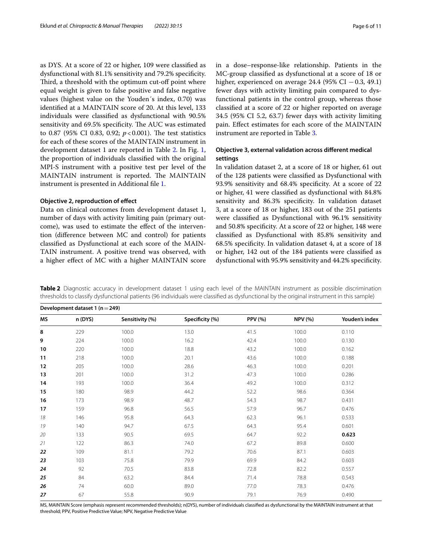as DYS. At a score of 22 or higher, 109 were classifed as dysfunctional with 81.1% sensitivity and 79.2% specifcity. Third, a threshold with the optimum cut-off point where equal weight is given to false positive and false negative values (highest value on the Youden´s index, 0.70) was identifed at a MAINTAIN score of 20. At this level, 133 individuals were classifed as dysfunctional with 90.5% sensitivity and 69.5% specificity. The AUC was estimated to 0.87 (95% CI 0.83, 0.92;  $p < 0.001$ ). The test statistics for each of these scores of the MAINTAIN instrument in development dataset 1 are reported in Table [2.](#page-5-0) In Fig. [1](#page-6-0), the proportion of individuals classifed with the original MPI-S instrument with a positive test per level of the MAINTAIN instrument is reported. The MAINTAIN instrument is presented in Additional fle [1.](#page-8-5)

# **Objective 2, reproduction of efect**

Data on clinical outcomes from development dataset 1, number of days with activity limiting pain (primary outcome), was used to estimate the effect of the intervention (diference between MC and control) for patients classifed as Dysfunctional at each score of the MAIN-TAIN instrument. A positive trend was observed, with a higher efect of MC with a higher MAINTAIN score in a dose–response-like relationship. Patients in the MC-group classifed as dysfunctional at a score of 18 or higher, experienced on average 24.4 (95% CI  $-0.3$ , 49.1) fewer days with activity limiting pain compared to dysfunctional patients in the control group, whereas those classifed at a score of 22 or higher reported on average 34.5 (95% CI 5.2, 63.7) fewer days with activity limiting pain. Efect estimates for each score of the MAINTAIN instrument are reported in Table [3](#page-7-0).

# **Objective 3, external validation across diferent medical settings**

In validation dataset 2, at a score of 18 or higher, 61 out of the 128 patients were classifed as Dysfunctional with 93.9% sensitivity and 68.4% specifcity. At a score of 22 or higher, 41 were classifed as dysfunctional with 84.8% sensitivity and 86.3% specifcity. In validation dataset 3, at a score of 18 or higher, 183 out of the 251 patients were classifed as Dysfunctional with 96.1% sensitivity and 50.8% specifcity. At a score of 22 or higher, 148 were classifed as Dysfunctional with 85.8% sensitivity and 68.5% specifcity. In validation dataset 4, at a score of 18 or higher, 142 out of the 184 patients were classifed as dysfunctional with 95.9% sensitivity and 44.2% specifcity.

<span id="page-5-0"></span>**Table 2** Diagnostic accuracy in development dataset 1 using each level of the MAINTAIN instrument as possible discrimination thresholds to classify dysfunctional patients (96 individuals were classifed as dysfunctional by the original instrument in this sample)

|    |         |                 |                 |                |                | Development dataset 1 ( $n = 249$ ) |  |  |  |  |  |  |
|----|---------|-----------------|-----------------|----------------|----------------|-------------------------------------|--|--|--|--|--|--|
| ΜS | n (DYS) | Sensitivity (%) | Specificity (%) | <b>PPV (%)</b> | <b>NPV (%)</b> | Youden's index                      |  |  |  |  |  |  |
| 8  | 229     | 100.0           | 13.0            | 41.5           | 100.0          | 0.110                               |  |  |  |  |  |  |
| 9  | 224     | 100.0           | 16.2            | 42.4           | 100.0          | 0.130                               |  |  |  |  |  |  |
| 10 | 220     | 100.0           | 18.8            | 43.2           | 100.0          | 0.162                               |  |  |  |  |  |  |
| 11 | 218     | 100.0           | 20.1            | 43.6           | 100.0          | 0.188                               |  |  |  |  |  |  |
| 12 | 205     | 100.0           | 28.6            | 46.3           | 100.0          | 0.201                               |  |  |  |  |  |  |
| 13 | 201     | 100.0           | 31.2            | 47.3           | 100.0          | 0.286                               |  |  |  |  |  |  |
| 14 | 193     | 100.0           | 36.4            | 49.2           | 100.0          | 0.312                               |  |  |  |  |  |  |
| 15 | 180     | 98.9            | 44.2            | 52.2           | 98.6           | 0.364                               |  |  |  |  |  |  |
| 16 | 173     | 98.9            | 48.7            | 54.3           | 98.7           | 0.431                               |  |  |  |  |  |  |
| 17 | 159     | 96.8            | 56.5            | 57.9           | 96.7           | 0.476                               |  |  |  |  |  |  |
| 18 | 146     | 95.8            | 64.3            | 62.3           | 96.1           | 0.533                               |  |  |  |  |  |  |
| 19 | 140     | 94.7            | 67.5            | 64.3           | 95.4           | 0.601                               |  |  |  |  |  |  |
| 20 | 133     | 90.5            | 69.5            | 64.7           | 92.2           | 0.623                               |  |  |  |  |  |  |
| 21 | 122     | 86.3            | 74.0            | 67.2           | 89.8           | 0.600                               |  |  |  |  |  |  |
| 22 | 109     | 81.1            | 79.2            | 70.6           | 87.1           | 0.603                               |  |  |  |  |  |  |
| 23 | 103     | 75.8            | 79.9            | 69.9           | 84.2           | 0.603                               |  |  |  |  |  |  |
| 24 | 92      | 70.5            | 83.8            | 72.8           | 82.2           | 0.557                               |  |  |  |  |  |  |
| 25 | 84      | 63.2            | 84.4            | 71.4           | 78.8           | 0.543                               |  |  |  |  |  |  |
| 26 | 74      | 60.0            | 89.0            | 77.0           | 78.3           | 0.476                               |  |  |  |  |  |  |
| 27 | 67      | 55.8            | 90.9            | 79.1           | 76.9           | 0.490                               |  |  |  |  |  |  |

MS, MAINTAIN Score (emphasis represent recommended thresholds); n(DYS), number of individuals classifed as dysfunctional by the MAINTAIN instrument at that threshold; PPV, Positive Predictive Value; NPV, Negative Predictive Value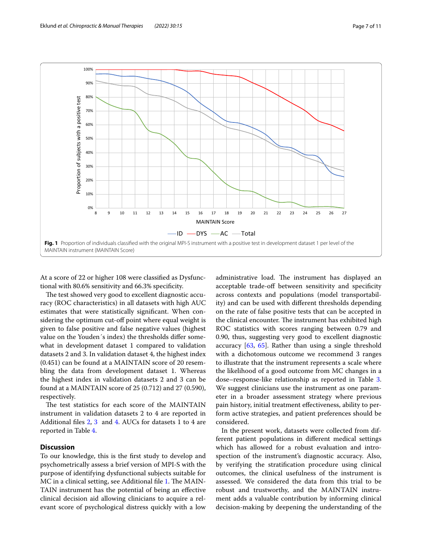

<span id="page-6-0"></span>At a score of 22 or higher 108 were classifed as Dysfunctional with 80.6% sensitivity and 66.3% specifcity.

The test showed very good to excellent diagnostic accuracy (ROC characteristics) in all datasets with high AUC estimates that were statistically signifcant. When considering the optimum cut-off point where equal weight is given to false positive and false negative values (highest value on the Youden´s index) the thresholds difer somewhat in development dataset 1 compared to validation datasets 2 and 3. In validation dataset 4, the highest index (0.451) can be found at a MAINTAIN score of 20 resembling the data from development dataset 1. Whereas the highest index in validation datasets 2 and 3 can be found at a MAINTAIN score of 25 (0.712) and 27 (0.590), respectively.

The test statistics for each score of the MAINTAIN instrument in validation datasets 2 to 4 are reported in Additional fles [2,](#page-8-6) [3](#page-8-7) and [4.](#page-8-8) AUCs for datasets 1 to 4 are reported in Table [4](#page-7-1).

# **Discussion**

To our knowledge, this is the frst study to develop and psychometrically assess a brief version of MPI-S with the purpose of identifying dysfunctional subjects suitable for MC in a clinical setting, see Additional file [1](#page-8-5). The MAIN-TAIN instrument has the potential of being an efective clinical decision aid allowing clinicians to acquire a relevant score of psychological distress quickly with a low

administrative load. The instrument has displayed an acceptable trade-off between sensitivity and specificity across contexts and populations (model transportability) and can be used with diferent thresholds depending on the rate of false positive tests that can be accepted in the clinical encounter. The instrument has exhibited high ROC statistics with scores ranging between 0.79 and 0.90, thus, suggesting very good to excellent diagnostic accuracy [\[63,](#page-10-7) [65\]](#page-10-9). Rather than using a single threshold with a dichotomous outcome we recommend 3 ranges to illustrate that the instrument represents a scale where the likelihood of a good outcome from MC changes in a dose–response-like relationship as reported in Table [3](#page-7-0). We suggest clinicians use the instrument as one parameter in a broader assessment strategy where previous pain history, initial treatment efectiveness, ability to perform active strategies, and patient preferences should be considered.

In the present work, datasets were collected from different patient populations in diferent medical settings which has allowed for a robust evaluation and introspection of the instrument's diagnostic accuracy. Also, by verifying the stratifcation procedure using clinical outcomes, the clinical usefulness of the instrument is assessed. We considered the data from this trial to be robust and trustworthy, and the MAINTAIN instrument adds a valuable contribution by informing clinical decision-making by deepening the understanding of the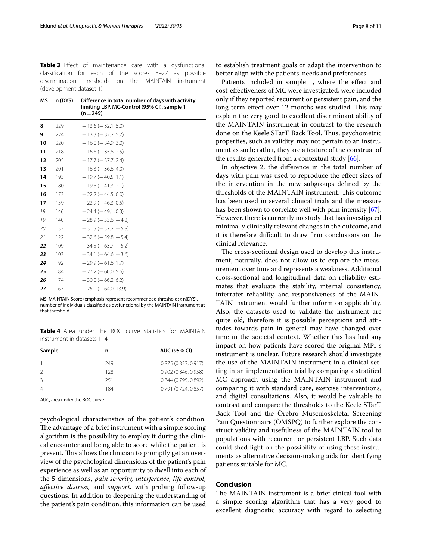<span id="page-7-0"></span>**Table 3** Efect of maintenance care with a dysfunctional classifcation for each of the scores 8–27 as possible discrimination thresholds on the MAINTAIN instrument (development dataset 1)

| ΜS<br>n (DYS)<br>8<br>229 |     | Difference in total number of days with activity<br>limiting LBP, MC-Control (95% CI), sample 1<br>$(n=249)$ |  |  |  |
|---------------------------|-----|--------------------------------------------------------------------------------------------------------------|--|--|--|
|                           |     | $-13.6$ ( $-32.1, 5.0$ )                                                                                     |  |  |  |
| 9                         | 224 | $-13.3$ ( $-32.2, 5.7$ )                                                                                     |  |  |  |
| 10                        | 220 | $-16.0$ ( $-34.9, 3.0$ )                                                                                     |  |  |  |
| 11                        | 218 | $-16.6$ ( $-35.8$ , 2.5)                                                                                     |  |  |  |
| 12                        | 205 | $-17.7$ ( $-37.7$ , 2.4)                                                                                     |  |  |  |
| 13                        | 201 | $-16.3$ ( $-36.6, 4.0$ )                                                                                     |  |  |  |
| 14                        | 193 | $-19.7(-40.5, 1.1)$                                                                                          |  |  |  |
| 15                        | 180 | $-19.6$ ( $-41.3$ , 2.1)                                                                                     |  |  |  |
| 16                        | 173 | $-22.2$ ( $-44.5, 0.0$ )                                                                                     |  |  |  |
| 17                        | 159 | $-22.9$ ( $-46.3, 0.5$ )                                                                                     |  |  |  |
| 18                        | 146 | $-24.4(-49.1, 0.3)$                                                                                          |  |  |  |
| 19                        | 140 | $-28.9$ ( $-53.6$ , $-4.2$ )                                                                                 |  |  |  |
| 20                        | 133 | $-31.5$ ( $-57.2$ , $-5.8$ )                                                                                 |  |  |  |
| 21                        | 122 | $-32.6$ ( $-59.8$ , $-5.4$ )                                                                                 |  |  |  |
| 22                        | 109 | $-34.5$ ( $-63.7$ , $-5.2$ )                                                                                 |  |  |  |
| 23                        | 103 | $-34.1$ ( $-64.6$ , $-3.6$ )                                                                                 |  |  |  |
| 24                        | 92  | $-29.9(-61.6, 1.7)$                                                                                          |  |  |  |
| 25                        | 84  | $-27.2$ ( $-60.0, 5.6$ )                                                                                     |  |  |  |
| 26                        | 74  | $-30.0$ ( $-66.2, 6.2$ )                                                                                     |  |  |  |
| 27                        | 67  | $-25.1$ ( $-64.0$ , 13.9)                                                                                    |  |  |  |

MS, MAINTAIN Score (emphasis represent recommended thresholds); n(DYS), number of individuals classifed as dysfunctional by the MAINTAIN instrument at that threshold

<span id="page-7-1"></span>**Table 4** Area under the ROC curve statistics for MAINTAIN instrument in datasets 1–4

| Sample        | n   | AUC (95% CI)           |  |
|---------------|-----|------------------------|--|
|               | 249 | 0.875(0.833, 0.917)    |  |
| $\mathcal{P}$ | 128 | $0.902$ (0.846, 0.958) |  |
| 3             | 251 | 0.844(0.795, 0.892)    |  |
| 4             | 184 | 0.791(0.724, 0.857)    |  |
|               |     |                        |  |

AUC, area under the ROC curve

psychological characteristics of the patient's condition. The advantage of a brief instrument with a simple scoring algorithm is the possibility to employ it during the clinical encounter and being able to score while the patient is present. This allows the clinician to promptly get an overview of the psychological dimensions of the patient's pain experience as well as an opportunity to dwell into each of the 5 dimensions, *pain severity, interference, life control, afective distress,* and *support,* with probing follow-up questions. In addition to deepening the understanding of the patient's pain condition, this information can be used

to establish treatment goals or adapt the intervention to better align with the patients' needs and preferences.

Patients included in sample 1, where the effect and cost-efectiveness of MC were investigated, were included only if they reported recurrent or persistent pain, and the long-term effect over 12 months was studied. This may explain the very good to excellent discriminant ability of the MAINTAIN instrument in contrast to the research done on the Keele STarT Back Tool. Thus, psychometric properties, such as validity, may not pertain to an instrument as such; rather, they are a feature of the construal of the results generated from a contextual study [[66\]](#page-10-10).

In objective 2, the diference in the total number of days with pain was used to reproduce the efect sizes of the intervention in the new subgroups defned by the thresholds of the MAINTAIN instrument. This outcome has been used in several clinical trials and the measure has been shown to correlate well with pain intensity [\[67](#page-10-11)]. However, there is currently no study that has investigated minimally clinically relevant changes in the outcome, and it is therefore difficult to draw firm conclusions on the clinical relevance.

The cross-sectional design used to develop this instrument, naturally, does not allow us to explore the measurement over time and represents a weakness. Additional cross-sectional and longitudinal data on reliability estimates that evaluate the stability, internal consistency, interrater reliability, and responsiveness of the MAIN-TAIN instrument would further inform on applicability. Also, the datasets used to validate the instrument are quite old, therefore it is possible perceptions and attitudes towards pain in general may have changed over time in the societal context. Whether this has had any impact on how patients have scored the original MPI-s instrument is unclear. Future research should investigate the use of the MAINTAIN instrument in a clinical setting in an implementation trial by comparing a stratifed MC approach using the MAINTAIN instrument and comparing it with standard care, exercise interventions, and digital consultations. Also, it would be valuable to contrast and compare the thresholds to the Keele STarT Back Tool and the Örebro Musculoskeletal Screening Pain Questionnaire (ÖMSPQ) to further explore the construct validity and usefulness of the MAINTAIN tool to populations with recurrent or persistent LBP. Such data could shed light on the possibility of using these instruments as alternative decision-making aids for identifying patients suitable for MC.

# **Conclusion**

The MAINTAIN instrument is a brief cinical tool with a simple scoring algorithm that has a very good to excellent diagnostic accuracy with regard to selecting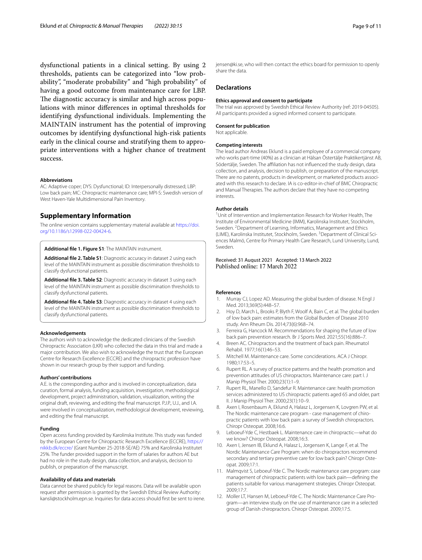dysfunctional patients in a clinical setting. By using 2 thresholds, patients can be categorized into "low probability", "moderate probability" and "high probability" of having a good outcome from maintenance care for LBP. The diagnostic accuracy is similar and high across populations with minor diferences in optimal thresholds for identifying dysfunctional individuals. Implementing the MAINTAIN instrument has the potential of improving outcomes by identifying dysfunctional high-risk patients early in the clinical course and stratifying them to appropriate interventions with a higher chance of treatment success.

#### **Abbreviations**

AC: Adaptive coper; DYS: Dysfunctional; ID: Interpersonally distressed; LBP: Low back pain; MC: Chiropractic maintenance care; MPI-S: Swedish version of West Haven-Yale Multidimensional Pain Inventory.

# **Supplementary Information**

The online version contains supplementary material available at [https://doi.](https://doi.org/10.1186/s12998-022-00424-6) [org/10.1186/s12998-022-00424-6](https://doi.org/10.1186/s12998-022-00424-6).

<span id="page-8-5"></span>**Additional fle 1. Figure S1**: The MAINTAIN instrument.

**Additional fle 2. Table S1**: Diagnostic accuracy in dataset 2 using each level of the MAINTAIN instrument as possible discrimination thresholds to classify dysfunctional patients.

<span id="page-8-7"></span>**Additional fle 3. Table S2**: Diagnostic accuracy in dataset 3 using each level of the MAINTAIN instrument as possible discrimination thresholds to classify dysfunctional patients.

<span id="page-8-8"></span>**Additional fle 4. Table S3**: Diagnostic accuracy in dataset 4 using each level of the MAINTAIN instrument as possible discrimination thresholds to classify dysfunctional patients.

#### **Acknowledgements**

The authors wish to acknowledge the dedicated clinicians of the Swedish Chiropractic Association (LKR) who collected the data in this trial and made a major contribution. We also wish to acknowledge the trust that the European Centre for Research Excellence (ECCRE) and the chiropractic profession have shown in our research group by their support and funding.

### **Authors' contributions**

A.E. is the corresponding author and is involved in conceptualization, data curation, formal analysis, funding acquisition, investigation, methodological development, project administration, validation, visualization, writing the original draft, reviewing, and editing the fnal manuscript. P.J.P., U.J., and I.A. were involved in conceptualization, methodological development, reviewing, and editing the fnal manuscript.

### **Funding**

Open access funding provided by Karolinska Institute. This study was funded by the European Centre for Chiropractic Research Excellence (ECCRE), [https://](https://nikkb.dk/eccre/) [nikkb.dk/eccre/](https://nikkb.dk/eccre/) (Grant Number 25-2018-SE/AE) 75% and Karolinska Institutet 25%. The funder provided support in the form of salaries for authors AE but had no role in the study design, data collection, and analysis, decision to publish, or preparation of the manuscript.

### **Availability of data and materials**

Data cannot be shared publicly for legal reasons. Data will be available upon request after permission is granted by the Swedish Ethical Review Authority: kansli@stockholm.epn.se. Inquiries for data access should frst be sent to irene. jensen@ki.se, who will then contact the ethics board for permission to openly share the data.

### **Declarations**

### **Ethics approval and consent to participate**

The trial was approved by Swedish Ethical Review Authority (ref: 2019-04505). All participants provided a signed informed consent to participate.

### **Consent for publication**

Not applicable.

### **Competing interests**

The lead author Andreas Eklund is a paid employee of a commercial company who works part-time (40%) as a clinician at Hälsan Östertälje Praktikertjänst AB, Södertälje, Sweden. The affiliation has not influenced the study design, data collection, and analysis, decision to publish, or preparation of the manuscript. There are no patents, products in development, or marketed products associated with this research to declare. IA is co-editor-in-chief of BMC Chiropractic and Manual Therapies. The authors declare that they have no competing interests.

#### **Author details**

<sup>1</sup> Unit of Intervention and Implementation Research for Worker Health, The Institute of Environmental Medicine (IMM), Karolinska Institutet, Stockholm, Sweden. <sup>2</sup> Department of Learning, Informatics, Management and Ethics (LIME), Karolinska Institutet, Stockholm, Sweden. <sup>3</sup> Department of Clinical Sciences Malmö, Centre for Primary Health Care Research, Lund University, Lund, Sweden.

<span id="page-8-6"></span>Received: 31 August 2021 Accepted: 13 March 2022 Published online: 17 March 2022

### **References**

- <span id="page-8-0"></span>1. Murray CJ, Lopez AD. Measuring the global burden of disease. N Engl J Med. 2013;369(5):448–57.
- <span id="page-8-1"></span>2. Hoy D, March L, Brooks P, Blyth F, Woolf A, Bain C, et al. The global burden of low back pain: estimates from the Global Burden of Disease 2010 study. Ann Rheum Dis. 2014;73(6):968–74.
- <span id="page-8-2"></span>3. Ferreira G, Hancock M. Recommendations for shaping the future of low back pain prevention research. Br J Sports Med. 2021;55(16):886–7.
- <span id="page-8-3"></span>4. Breen AC. Chiropractors and the treatment of back pain. Rheumatol Rehabil. 1977;16(1):46–53.
- 5. Mitchell M. Maintenance care. Some conciderations. ACA J Chiropr. 1980;17:53–5.
- 6. Rupert RL. A survey of practice patterns and the health promotion and prevention attitudes of US chiropractors. Maintenance care: part I. J Manip Physiol Ther. 2000;23(1):1–9.
- 7. Rupert RL, Manello D, Sandefur R. Maintenance care: health promotion services administered to US chiropractic patients aged 65 and older, part II. J Manip Physiol Ther. 2000;23(1):10–9.
- 8. Axen I, Rosenbaum A, Eklund A, Halasz L, Jorgensen K, Lovgren PW, et al. The Nordic maintenance care program - case management of chiropractic patients with low back pain: a survey of Swedish chiropractors. Chiropr Osteopat. 2008;16:6.
- 9. Leboeuf-Yde C, Hestbaek L. Maintenance care in chiropractic—what do we know? Chiropr Osteopat. 2008;16:3.
- <span id="page-8-4"></span>10. Axen I, Jensen IB, Eklund A, Halasz L, Jorgensen K, Lange F, et al. The Nordic Maintenance Care Program: when do chiropractors recommend secondary and tertiary preventive care for low back pain? Chiropr Osteopat. 2009;17:1.
- 11. Malmqvist S, Leboeuf-Yde C. The Nordic maintenance care program: case management of chiropractic patients with low back pain—defning the patients suitable for various management strategies. Chiropr Osteopat. 2009;17:7.
- 12. Moller LT, Hansen M, Leboeuf-Yde C. The Nordic Maintenance Care Program—an interview study on the use of maintenance care in a selected group of Danish chiropractors. Chiropr Osteopat. 2009;17:5.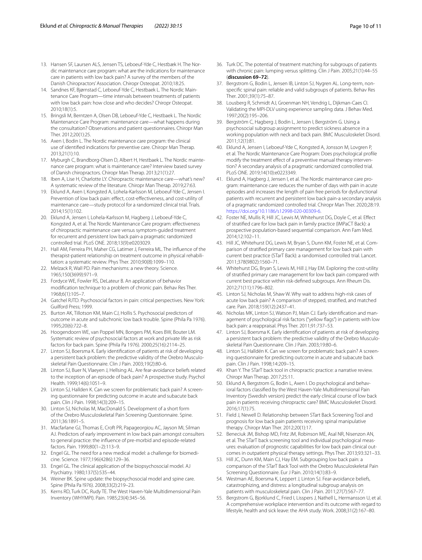- 13. Hansen SF, Laursen ALS, Jensen TS, Leboeuf-Yde C, Hestbæk H. The Nordic maintenance care program: what are the indications for maintenance care in patients with low back pain? A survey of the members of the Danish Chiropractors' Association. Chiropr Osteopat. 2010;18:25.
- 14. Sandnes KF, Bjørnstad C, Leboeuf-Yde C, Hestbaek L. The Nordic Maintenance Care Program—time intervals between treatments of patients with low back pain: how close and who decides? Chiropr Osteopat. 2010;18(1):5.
- 15. Bringsli M, Berntzen A, Olsen DB, Leboeuf-Yde C, Hestbaek L. The Nordic Maintenance Care Program: maintenance care—what happens during the consultation? Observations and patient questionnaires. Chiropr Man Ther. 2012;20(1):25.
- 16. Axen I, Bodin L. The Nordic maintenance care program: the clinical use of identifed indications for preventive care. Chiropr Man Therap. 2013;21(1):10.
- 17. Myburgh C, Brandborg-Olsen D, Albert H, Hestbaek L. The Nordic maintenance care program: what is maintenance care? Interview based survey of Danish chiropractors. Chiropr Man Therap. 2013;21(1):27.
- <span id="page-9-0"></span>18. Iben A, Lise H, Charlotte LY. Chiropractic maintenance care—what's new? A systematic review of the literature. Chiropr Man Therap. 2019;27:63.
- <span id="page-9-1"></span>19. Eklund A, Axen I, Kongsted A, Lohela-Karlsson M, Leboeuf-Yde C, Jensen I. Prevention of low back pain: effect, cost-effectiveness, and cost-utility of maintenance care—study protocol for a randomized clinical trial. Trials. 2014;15(1):102.
- <span id="page-9-2"></span>20. Eklund A, Jensen I, Lohela-Karlsson M, Hagberg J, Leboeuf-Yde C, Kongsted A, et al. The Nordic Maintenance Care program: efectiveness of chiropractic maintenance care versus symptom-guided treatment for recurrent and persistent low back pain-a pragmatic randomized controlled trial. PLoS ONE. 2018;13(9):e0203029.
- <span id="page-9-3"></span>21. Hall AM, Ferreira PH, Maher CG, Latimer J, Ferreira ML. The infuence of the therapist-patient relationship on treatment outcome in physical rehabilitation: a systematic review. Phys Ther. 2010;90(8):1099–110.
- <span id="page-9-4"></span>22. Melzack R, Wall PD. Pain mechanisms: a new theory. Science. 1965;150(3699):971–9.
- <span id="page-9-5"></span>23. Fordyce WE, Fowler RS, DeLateur B. An application of behavior modifcation technique to a problem of chronic pain. Behav Res Ther. 1968;6(1):105–7.
- <span id="page-9-6"></span>24. Gatchel RJTD. Psychosocial factors in pain: critical perspectives. New York: Guilford Press; 1999.
- <span id="page-9-7"></span>25. Burton AK, Tillotson KM, Main CJ, Hollis S. Psychosocial predictors of outcome in acute and subchronic low back trouble. Spine (Phila Pa 1976). 1995;20(6):722–8.
- 26. Hoogendoorn WE, van Poppel MN, Bongers PM, Koes BW, Bouter LM. Systematic review of psychosocial factors at work and private life as risk factors for back pain. Spine (Phila Pa 1976). 2000;25(16):2114–25.
- <span id="page-9-27"></span>27. Linton SJ, Boersma K. Early identifcation of patients at risk of developing a persistent back problem: the predictive validity of the Orebro Musculoskeletal Pain Questionnaire. Clin J Pain. 2003;19(2):80–6.
- <span id="page-9-18"></span>28. Linton SJ, Buer N, Vlaeyen J, Hellsing AL. Are fear-avoidance beliefs related to the inception of an episode of back pain? A prospective study. Psychol Health. 1999;14(6):1051–9.
- 29. Linton SJ, Hallden K. Can we screen for problematic back pain? A screening questionnaire for predicting outcome in acute and subacute back pain. Clin J Pain. 1998;14(3):209–15.
- <span id="page-9-28"></span>30. Linton SJ, Nicholas M, MacDonald S. Development of a short form of the Orebro Musculoskeletal Pain Screening Questionnaire. Spine. 2011;36:1891–5.
- <span id="page-9-8"></span>31. Macfarlane GJ, Thomas E, Croft PR, Papageorgiou AC, Jayson MI, Silman AJ. Predictors of early improvement in low back pain amongst consulters to general practice: the infuence of pre-morbid and episode-related factors. Pain. 1999;80(1–2):113–9.
- <span id="page-9-9"></span>32. Engel GL. The need for a new medical model: a challenge for biomedicine. Science. 1977;196(4286):129–36.
- 33. Engel GL. The clinical application of the biopsychosocial model. AJ Psychiatry. 1980;137(5):535–44.
- <span id="page-9-10"></span>34. Weiner BK. Spine update: the biopsychosocial model and spine care. Spine (Phila Pa !976). 2008;33(2):219–23.
- <span id="page-9-11"></span>35. Kerns RD, Turk DC, Rudy TE. The West Haven-Yale Multidimensional Pain Inventory (WHYMPI). Pain. 1985;23(4):345–56.
- <span id="page-9-12"></span>36. Turk DC. The potential of treatment matching for subgroups of patients with chronic pain: lumping versus splitting. Clin J Pain. 2005;21(1):44–55 (**discussion 69–72**).
- <span id="page-9-13"></span>37. Bergstrom G, Bodin L, Jensen IB, Linton SJ, Nygren AL. Long-term, nonspecifc spinal pain: reliable and valid subgroups of patients. Behav Res Ther. 2001;39(1):75–87.
- <span id="page-9-14"></span>38. Lousberg R, Schmidt AJ, Groenman NH, Vendrig L, Dijkman-Caes CI. Validating the MPI-DLV using experience sampling data. J Behav Med. 1997;20(2):195–206.
- <span id="page-9-15"></span>39. Bergström C, Hagberg J, Bodin L, Jensen I, Bergström G. Using a psychosocial subgroup assignment to predict sickness absence in a working population with neck and back pain. BMC Musculoskelet Disord. 2011;12(1):81.
- <span id="page-9-16"></span>40. Eklund A, Jensen I, Leboeuf-Yde C, Kongsted A, Jonsson M, Lovgren P, et al. The Nordic Maintenance Care Program: Does psychological profle modify the treatment effect of a preventive manual therapy intervention? A secondary analysis of a pragmatic randomized controlled trial. PLoS ONE. 2019;14(10):e0223349.
- <span id="page-9-17"></span>41. Eklund A, Hagberg J, Jensen I, et al. The Nordic maintenance care program: maintenance care reduces the number of days with pain in acute episodes and increases the length of pain free periods for dysfunctional patients with recurrent and persistent low back pain-a secondary analysis of a pragmatic randomized controlled trial. Chiropr Man Ther. 2020;28:19. <https://doi.org/10.1186/s12998-020-00309-6>.
- <span id="page-9-19"></span>42. Foster NE, Mullis R, Hill JC, Lewis M, Whitehurst DG, Doyle C, et al. Efect of stratifed care for low back pain in family practice (IMPaCT Back): a prospective population-based sequential comparison. Ann Fam Med. 2014;12:102–11.
- <span id="page-9-24"></span>43. Hill JC, Whitehurst DG, Lewis M, Bryan S, Dunn KM, Foster NE, et al. Comparison of stratifed primary care management for low back pain with current best practice (STarT Back): a randomised controlled trial. Lancet. 2011;378(9802):1560–71.
- 44. Whitehurst DG, Bryan S, Lewis M, Hill J, Hay EM. Exploring the cost-utility of stratifed primary care management for low back pain compared with current best practice within risk-defned subgroups. Ann Rheum Dis. 2012;71(11):1796–802.
- 45. Linton SJ, Nicholas M, Shaw W. Why wait to address high-risk cases of acute low back pain? A comparison of stepped, stratifed, and matched care. Pain. 2018;159(12):2437–41.
- 46. Nicholas MK, Linton SJ, Watson PJ, Main CJ. Early identifcation and management of psychological risk factors ("yellow fags") in patients with low back pain: a reappraisal. Phys Ther. 2011;91:737–53.
- 47. Linton SJ, Boersma K. Early identifcation of patients at risk of developing a persistent back problem: the predictive validity of the Orebro Musculoskeletal Pain Questionnaire. Clin J Pain. 2003;19:80–6.
- <span id="page-9-20"></span>48. Linton SJ, Halldén K. Can we screen for problematic back pain? A screening questionnaire for predicting outcome in acute and subacute back pain. Clin J Pain. 1998;14:209–15.
- <span id="page-9-21"></span>49. Khan Y. The STarT back tool in chiropractic practice: a narrative review. Chiropr Man Therap. 2017;25:11.
- <span id="page-9-22"></span>50. Eklund A, Bergstrom G, Bodin L, Axen I. Do psychological and behavioral factors classifed by the West Haven-Yale Multidimensional Pain Inventory (Swedish version) predict the early clinical course of low back pain in patients receiving chiropractic care? BMC Musculoskelet Disord. 2016;17(1):75.
- <span id="page-9-23"></span>51. Field J, Newell D. Relationship between STart Back Screening Tool and prognosis for low back pain patients receiving spinal manipulative therapy. Chiropr Man Ther. 2012;20(1):17.
- <span id="page-9-25"></span>52. Beneciuk JM, Bishop MD, Fritz JM, Robinson ME, Asal NR, Nisenzon AN, et al. The STarT back screening tool and individual psychological measures: evaluation of prognostic capabilities for low back pain clinical outcomes in outpatient physical therapy settings. Phys Ther. 2013;93:321–33.
- <span id="page-9-26"></span>53. Hill JC, Dunn KM, Main CJ, Hay EM. Subgrouping low back pain: a comparison of the STarT Back Tool with the Orebro Musculoskeletal Pain Screening Questionnaire. Eur J Pain. 2010;14(1):83–9.
- <span id="page-9-29"></span>54. Westman AE, Boersma K, Leppert J, Linton SJ. Fear-avoidance beliefs, catastrophizing, and distress: a longitudinal subgroup analysis on patients with musculoskeletal pain. Clin J Pain. 2011;27(7):567–77.
- <span id="page-9-30"></span>55. Bergstrom G, Bjorklund C, Fried I, Lisspers J, Nathell L, Hermansson U, et al. A comprehensive workplace intervention and its outcome with regard to lifestyle, health and sick leave: the AHA study. Work. 2008;31(2):167–80.